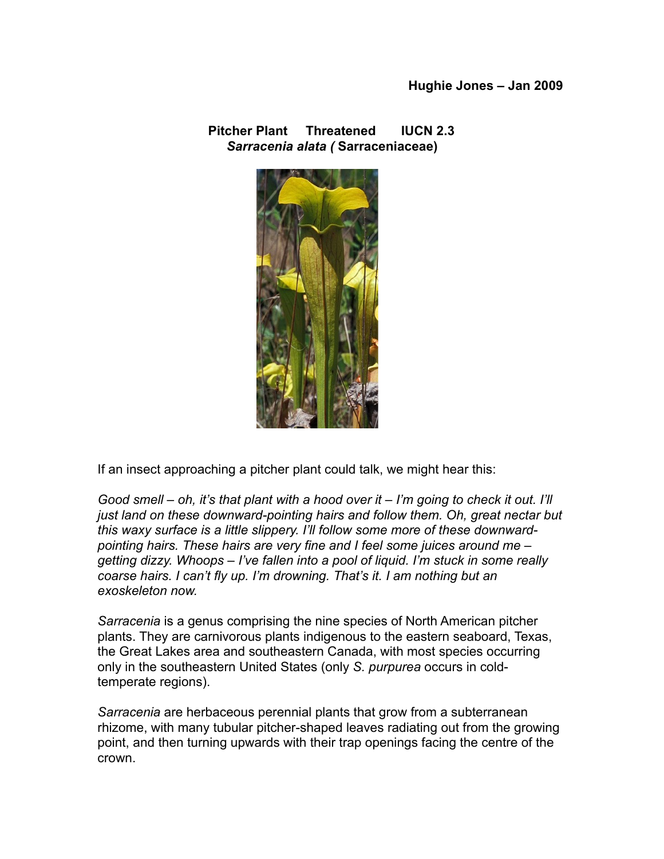**Pitcher Plant Threatened****IUCN 2.3** *Sarracenia alata (* **Sarraceniaceae)**



If an insect approaching a pitcher plant could talk, we might hear this:

*Good smell – oh, it's that plant with a hood over it – I'm going to check it out. I'll just land on these downward-pointing hairs and follow them. Oh, great nectar but this waxy surface is a little slippery. I'll follow some more of these downwardpointing hairs. These hairs are very fine and I feel some juices around me – getting dizzy. Whoops – I've fallen into a pool of liquid. I'm stuck in some really coarse hairs. I can't fly up. I'm drowning. That's it. I am nothing but an exoskeleton now.* 

*Sarracenia* is a genus comprising the nine species of North American pitcher plants. They are carnivorous plants indigenous to the eastern seaboard, Texas, the Great Lakes area and southeastern Canada, with most species occurring only in the southeastern United States (only *S. purpurea* occurs in coldtemperate regions).

*Sarracenia* are herbaceous perennial plants that grow from a subterranean rhizome, with many tubular pitcher-shaped leaves radiating out from the growing point, and then turning upwards with their trap openings facing the centre of the crown.